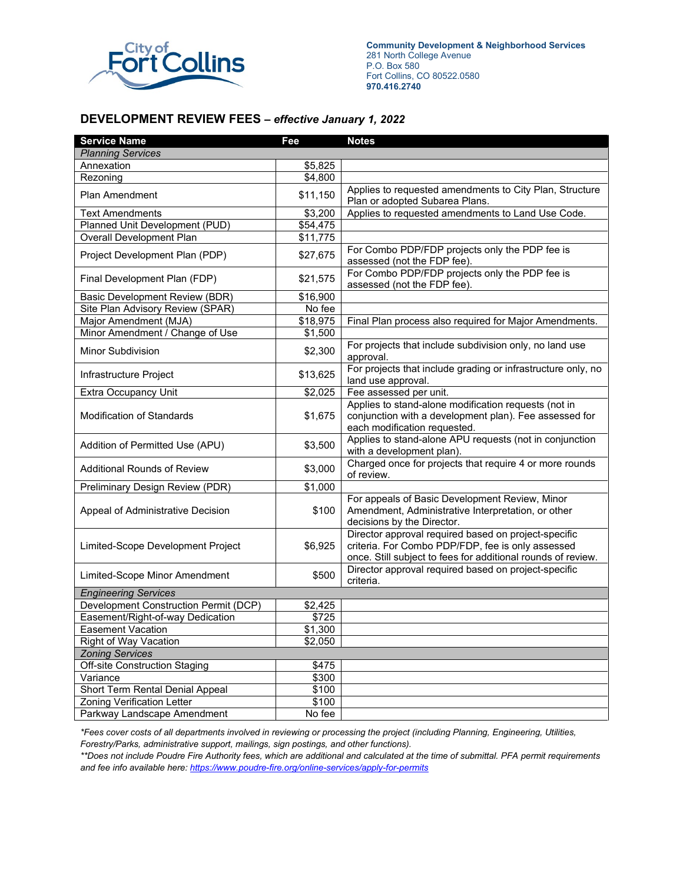

**Community Development & Neighborhood Services** 281 North College Avenue P.O. Box 580 Fort Collins, CO 80522.0580 **970.416.2740**

### **DEVELOPMENT REVIEW FEES –** *effective January 1, 2022*

| <b>Service Name</b>                   | Fee      | <b>Notes</b>                                                                                                                                                              |  |
|---------------------------------------|----------|---------------------------------------------------------------------------------------------------------------------------------------------------------------------------|--|
| <b>Planning Services</b>              |          |                                                                                                                                                                           |  |
| Annexation                            | \$5,825  |                                                                                                                                                                           |  |
| Rezoning                              | \$4,800  |                                                                                                                                                                           |  |
| Plan Amendment                        | \$11,150 | Applies to requested amendments to City Plan, Structure<br>Plan or adopted Subarea Plans.                                                                                 |  |
| <b>Text Amendments</b>                | \$3,200  | Applies to requested amendments to Land Use Code.                                                                                                                         |  |
| Planned Unit Development (PUD)        | \$54,475 |                                                                                                                                                                           |  |
| <b>Overall Development Plan</b>       | \$11,775 |                                                                                                                                                                           |  |
| Project Development Plan (PDP)        | \$27,675 | For Combo PDP/FDP projects only the PDP fee is<br>assessed (not the FDP fee).                                                                                             |  |
| Final Development Plan (FDP)          | \$21,575 | For Combo PDP/FDP projects only the PDP fee is<br>assessed (not the FDP fee).                                                                                             |  |
| Basic Development Review (BDR)        | \$16,900 |                                                                                                                                                                           |  |
| Site Plan Advisory Review (SPAR)      | No fee   |                                                                                                                                                                           |  |
| Major Amendment (MJA)                 | \$18,975 | Final Plan process also required for Major Amendments.                                                                                                                    |  |
| Minor Amendment / Change of Use       | \$1,500  |                                                                                                                                                                           |  |
| Minor Subdivision                     | \$2,300  | For projects that include subdivision only, no land use<br>approval.                                                                                                      |  |
| Infrastructure Project                | \$13,625 | For projects that include grading or infrastructure only, no<br>land use approval.                                                                                        |  |
| <b>Extra Occupancy Unit</b>           | \$2,025  | Fee assessed per unit.                                                                                                                                                    |  |
| <b>Modification of Standards</b>      | \$1,675  | Applies to stand-alone modification requests (not in<br>conjunction with a development plan). Fee assessed for<br>each modification requested.                            |  |
| Addition of Permitted Use (APU)       | \$3,500  | Applies to stand-alone APU requests (not in conjunction<br>with a development plan).                                                                                      |  |
| <b>Additional Rounds of Review</b>    | \$3,000  | Charged once for projects that require 4 or more rounds<br>of review.                                                                                                     |  |
| Preliminary Design Review (PDR)       | \$1,000  |                                                                                                                                                                           |  |
| Appeal of Administrative Decision     | \$100    | For appeals of Basic Development Review, Minor<br>Amendment, Administrative Interpretation, or other<br>decisions by the Director.                                        |  |
| Limited-Scope Development Project     | \$6,925  | Director approval required based on project-specific<br>criteria. For Combo PDP/FDP, fee is only assessed<br>once. Still subject to fees for additional rounds of review. |  |
| Limited-Scope Minor Amendment         | \$500    | Director approval required based on project-specific<br>criteria.                                                                                                         |  |
| <b>Engineering Services</b>           |          |                                                                                                                                                                           |  |
| Development Construction Permit (DCP) | \$2,425  |                                                                                                                                                                           |  |
| Easement/Right-of-way Dedication      | \$725    |                                                                                                                                                                           |  |
| <b>Easement Vacation</b>              | \$1,300  |                                                                                                                                                                           |  |
| Right of Way Vacation                 | \$2,050  |                                                                                                                                                                           |  |
| <b>Zoning Services</b>                |          |                                                                                                                                                                           |  |
| <b>Off-site Construction Staging</b>  | \$475    |                                                                                                                                                                           |  |
| Variance                              | \$300    |                                                                                                                                                                           |  |
| Short Term Rental Denial Appeal       | \$100    |                                                                                                                                                                           |  |
| Zoning Verification Letter            | \$100    |                                                                                                                                                                           |  |
| Parkway Landscape Amendment           | No fee   |                                                                                                                                                                           |  |

*\*Fees cover costs of all departments involved in reviewing or processing the project (including Planning, Engineering, Utilities, Forestry/Parks, administrative support, mailings, sign postings, and other functions).*

*\*\*Does not include Poudre Fire Authority fees, which are additional and calculated at the time of submittal. PFA permit requirements and fee info available here[: https://www.poudre-fire.org/online-services/apply-for-permits](https://www.poudre-fire.org/online-services/apply-for-permits)*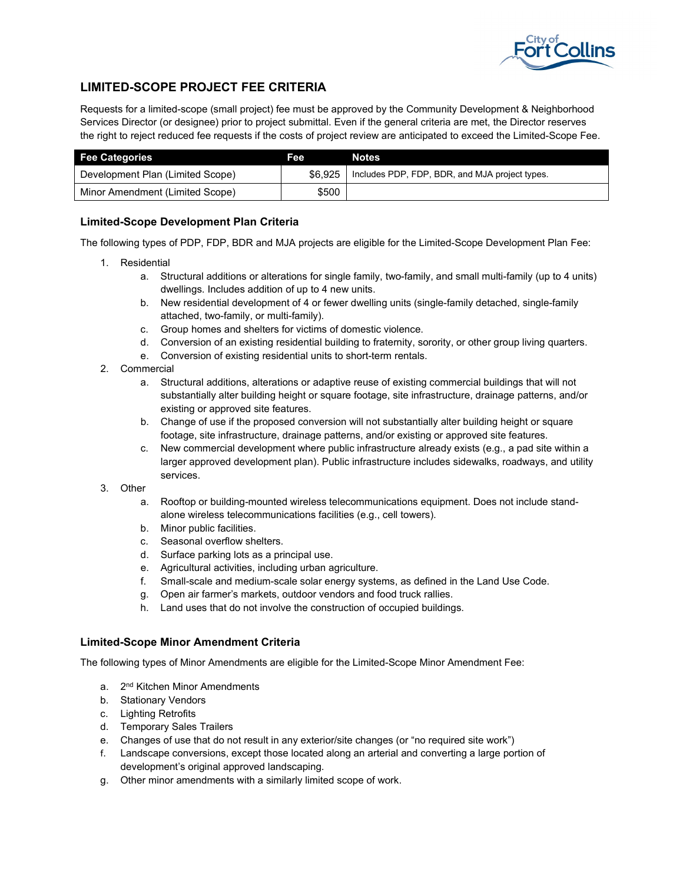

### **LIMITED-SCOPE PROJECT FEE CRITERIA**

Requests for a limited-scope (small project) fee must be approved by the Community Development & Neighborhood Services Director (or designee) prior to project submittal. Even if the general criteria are met, the Director reserves the right to reject reduced fee requests if the costs of project review are anticipated to exceed the Limited-Scope Fee.

| <b>Fee Categories</b>            | <b>Fee</b> | <b>Notes</b>                                   |
|----------------------------------|------------|------------------------------------------------|
| Development Plan (Limited Scope) | $$6.925$ 1 | Includes PDP, FDP, BDR, and MJA project types. |
| Minor Amendment (Limited Scope)  | \$500      |                                                |

### **Limited-Scope Development Plan Criteria**

The following types of PDP, FDP, BDR and MJA projects are eligible for the Limited-Scope Development Plan Fee:

- 1. Residential
	- a. Structural additions or alterations for single family, two-family, and small multi-family (up to 4 units) dwellings. Includes addition of up to 4 new units.
	- b. New residential development of 4 or fewer dwelling units (single-family detached, single-family attached, two-family, or multi-family).
	- c. Group homes and shelters for victims of domestic violence.
	- d. Conversion of an existing residential building to fraternity, sorority, or other group living quarters.
	- e. Conversion of existing residential units to short-term rentals.
- 2. Commercial
	- a. Structural additions, alterations or adaptive reuse of existing commercial buildings that will not substantially alter building height or square footage, site infrastructure, drainage patterns, and/or existing or approved site features.
	- b. Change of use if the proposed conversion will not substantially alter building height or square footage, site infrastructure, drainage patterns, and/or existing or approved site features.
	- c. New commercial development where public infrastructure already exists (e.g., a pad site within a larger approved development plan). Public infrastructure includes sidewalks, roadways, and utility services.
- 3. Other
	- a. Rooftop or building-mounted wireless telecommunications equipment. Does not include standalone wireless telecommunications facilities (e.g., cell towers).
	- b. Minor public facilities.
	- c. Seasonal overflow shelters.
	- d. Surface parking lots as a principal use.
	-
	- e. Agricultural activities, including urban agriculture. Small-scale and medium-scale solar energy systems, as defined in the Land Use Code.
	- g. Open air farmer's markets, outdoor vendors and food truck rallies.
	- h. Land uses that do not involve the construction of occupied buildings.

#### **Limited-Scope Minor Amendment Criteria**

The following types of Minor Amendments are eligible for the Limited-Scope Minor Amendment Fee:

- a. 2<sup>nd</sup> Kitchen Minor Amendments
- b. Stationary Vendors
- c. Lighting Retrofits
- d. Temporary Sales Trailers
- e. Changes of use that do not result in any exterior/site changes (or "no required site work")
- f. Landscape conversions, except those located along an arterial and converting a large portion of development's original approved landscaping.
- g. Other minor amendments with a similarly limited scope of work.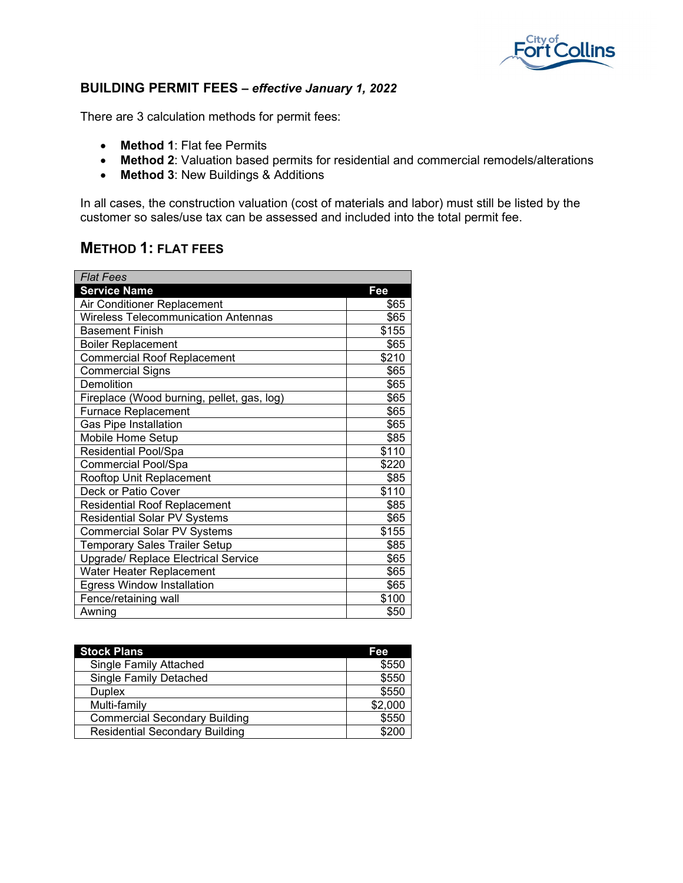

## **BUILDING PERMIT FEES –** *effective January 1, 2022*

There are 3 calculation methods for permit fees:

- **Method 1**: Flat fee Permits
- **Method 2**: Valuation based permits for residential and commercial remodels/alterations
- **Method 3**: New Buildings & Additions

In all cases, the construction valuation (cost of materials and labor) must still be listed by the customer so sales/use tax can be assessed and included into the total permit fee.

## **METHOD 1: FLAT FEES**

| <b>Flat Fees</b>                           |       |
|--------------------------------------------|-------|
| <b>Service Name</b>                        | Fee   |
| Air Conditioner Replacement                | \$65  |
| <b>Wireless Telecommunication Antennas</b> | \$65  |
| <b>Basement Finish</b>                     | \$155 |
| <b>Boiler Replacement</b>                  | \$65  |
| <b>Commercial Roof Replacement</b>         | \$210 |
| <b>Commercial Signs</b>                    | \$65  |
| Demolition                                 | \$65  |
| Fireplace (Wood burning, pellet, gas, log) | \$65  |
| <b>Furnace Replacement</b>                 | \$65  |
| <b>Gas Pipe Installation</b>               | \$65  |
| Mobile Home Setup                          | \$85  |
| Residential Pool/Spa                       | \$110 |
| <b>Commercial Pool/Spa</b>                 | \$220 |
| Rooftop Unit Replacement                   | \$85  |
| Deck or Patio Cover                        | \$110 |
| <b>Residential Roof Replacement</b>        | \$85  |
| <b>Residential Solar PV Systems</b>        | \$65  |
| <b>Commercial Solar PV Systems</b>         | \$155 |
| <b>Temporary Sales Trailer Setup</b>       | \$85  |
| <b>Upgrade/ Replace Electrical Service</b> | \$65  |
| Water Heater Replacement                   | \$65  |
| <b>Egress Window Installation</b>          | \$65  |
| Fence/retaining wall                       | \$100 |
| Awning                                     | \$50  |

| <b>Stock Plans</b>                    | Fee     |
|---------------------------------------|---------|
| Single Family Attached                | \$550   |
| <b>Single Family Detached</b>         | \$550   |
| <b>Duplex</b>                         | \$550   |
| Multi-family                          | \$2,000 |
| <b>Commercial Secondary Building</b>  | \$550   |
| <b>Residential Secondary Building</b> | \$200   |